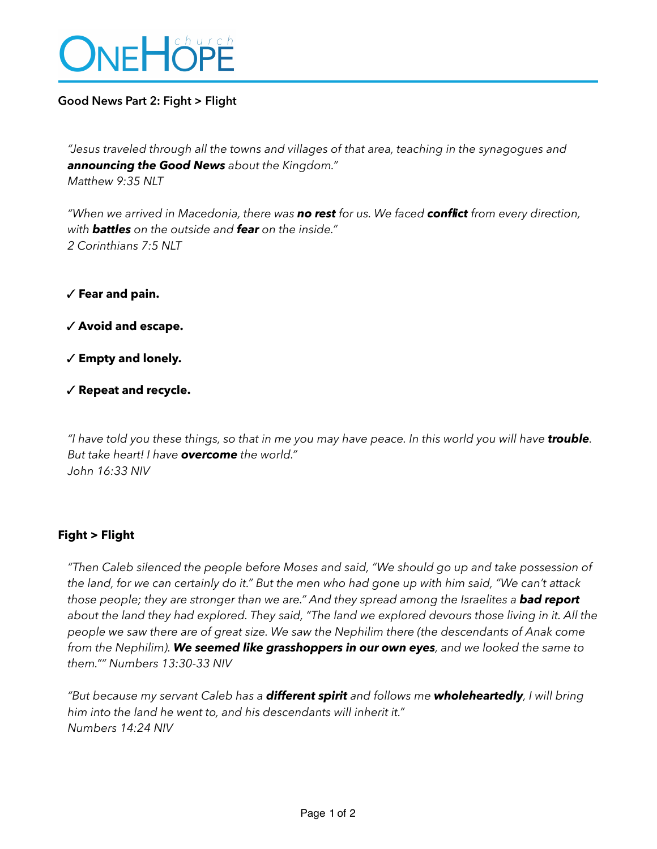

### **Good News Part 2: Fight > Flight**

*"Jesus traveled through all the towns and villages of that area, teaching in the synagogues and announcing the Good News about the Kingdom." Matthew 9:35 NLT* 

*"When we arrived in Macedonia, there was no rest for us. We faced conflict from every direction, with battles on the outside and fear on the inside." 2 Corinthians 7:5 NLT* 

✓ **Fear and pain.**

✓ **Avoid and escape.** 

✓ **Empty and lonely.** 

✓ **Repeat and recycle.** 

*"I have told you these things, so that in me you may have peace. In this world you will have trouble. But take heart! I have overcome the world." John 16:33 NIV* 

## **Fight > Flight**

*"Then Caleb silenced the people before Moses and said, "We should go up and take possession of the land, for we can certainly do it." But the men who had gone up with him said, "We can't attack*  those people; they are stronger than we are." And they spread among the Israelites a **bad report** *about the land they had explored. They said, "The land we explored devours those living in it. All the people we saw there are of great size. We saw the Nephilim there (the descendants of Anak come from the Nephilim). We seemed like grasshoppers in our own eyes, and we looked the same to them."" Numbers 13:30-33 NIV* 

*"But because my servant Caleb has a different spirit and follows me wholeheartedly, I will bring him into the land he went to, and his descendants will inherit it." Numbers 14:24 NIV*